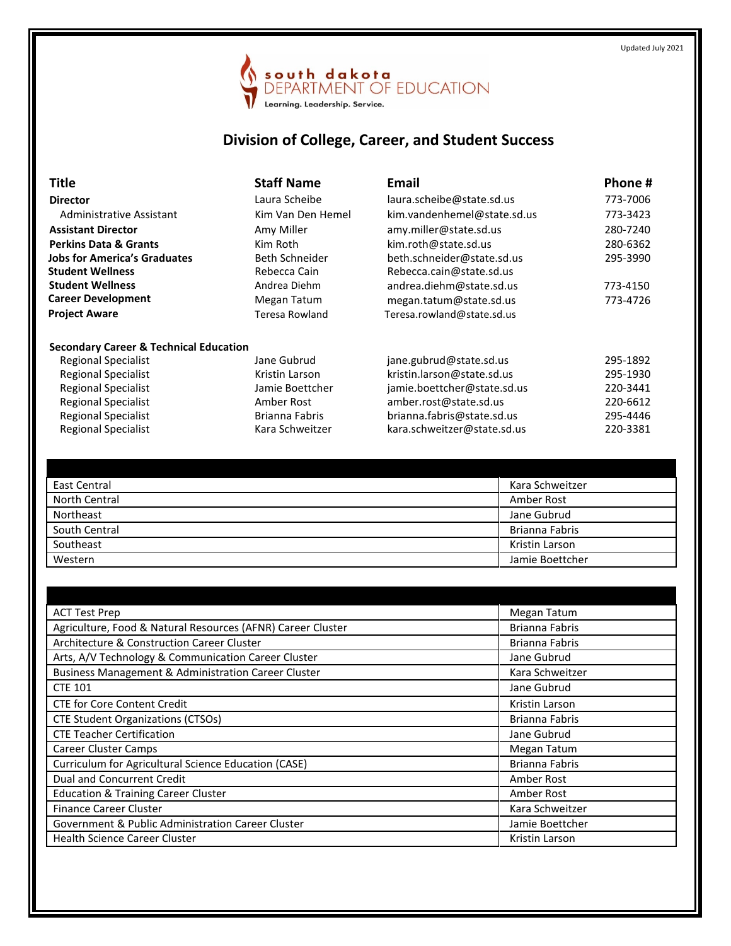

## **Division of College, Career, and Student Success**

| <b>Title</b>                                      | <b>Staff Name</b>     | <b>Email</b>                | Phone #  |
|---------------------------------------------------|-----------------------|-----------------------------|----------|
| <b>Director</b>                                   | Laura Scheibe         | laura.scheibe@state.sd.us   | 773-7006 |
| Administrative Assistant                          | Kim Van Den Hemel     | kim.vandenhemel@state.sd.us | 773-3423 |
| <b>Assistant Director</b>                         | Amy Miller            | amy.miller@state.sd.us      | 280-7240 |
| <b>Perkins Data &amp; Grants</b>                  | Kim Roth              | kim.roth@state.sd.us        | 280-6362 |
| <b>Jobs for America's Graduates</b>               | <b>Beth Schneider</b> | beth.schneider@state.sd.us  | 295-3990 |
| <b>Student Wellness</b>                           | Rebecca Cain          | Rebecca.cain@state.sd.us    |          |
| <b>Student Wellness</b>                           | Andrea Diehm          | andrea.diehm@state.sd.us    | 773-4150 |
| <b>Career Development</b>                         | Megan Tatum           | megan.tatum@state.sd.us     | 773-4726 |
| <b>Project Aware</b>                              | <b>Teresa Rowland</b> | Teresa.rowland@state.sd.us  |          |
| <b>Secondary Career &amp; Technical Education</b> |                       |                             |          |
| Regional Specialist                               | Jane Gubrud           | jane.gubrud@state.sd.us     | 295-1892 |
| Regional Specialist                               | Kristin Larson        | kristin.larson@state.sd.us  | 295-1930 |
| <b>Regional Specialist</b>                        | Jamie Boettcher       | jamie.boettcher@state.sd.us | 220-3441 |
| <b>Regional Specialist</b>                        | Amber Rost            | amber.rost@state.sd.us      | 220-6612 |
| <b>Regional Specialist</b>                        | Brianna Fabris        | brianna.fabris@state.sd.us  | 295-4446 |
| <b>Regional Specialist</b>                        | Kara Schweitzer       | kara.schweitzer@state.sd.us | 220-3381 |

| East Central  | Kara Schweitzer |
|---------------|-----------------|
| North Central | Amber Rost      |
| Northeast     | Jane Gubrud     |
| South Central | Brianna Fabris  |
| Southeast     | Kristin Larson  |
| Western       | Jamie Boettcher |

| <b>ACT Test Prep</b>                                        | Megan Tatum           |
|-------------------------------------------------------------|-----------------------|
| Agriculture, Food & Natural Resources (AFNR) Career Cluster | Brianna Fabris        |
| Architecture & Construction Career Cluster                  | <b>Brianna Fabris</b> |
| Arts, A/V Technology & Communication Career Cluster         | Jane Gubrud           |
| Business Management & Administration Career Cluster         | Kara Schweitzer       |
| <b>CTE 101</b>                                              | Jane Gubrud           |
| <b>CTE for Core Content Credit</b>                          | Kristin Larson        |
| <b>CTE Student Organizations (CTSOs)</b>                    | <b>Brianna Fabris</b> |
| <b>CTE Teacher Certification</b>                            | Jane Gubrud           |
| <b>Career Cluster Camps</b>                                 | Megan Tatum           |
| Curriculum for Agricultural Science Education (CASE)        | <b>Brianna Fabris</b> |
| Dual and Concurrent Credit                                  | Amber Rost            |
| <b>Education &amp; Training Career Cluster</b>              | Amber Rost            |
| <b>Finance Career Cluster</b>                               | Kara Schweitzer       |
| Government & Public Administration Career Cluster           | Jamie Boettcher       |
| <b>Health Science Career Cluster</b>                        | Kristin Larson        |